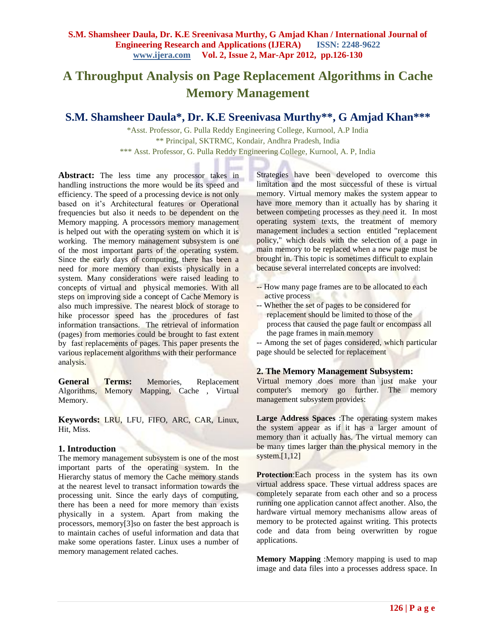# **A Throughput Analysis on Page Replacement Algorithms in Cache Memory Management**

# **S.M. Shamsheer Daula\*, Dr. K.E Sreenivasa Murthy\*\*, G Amjad Khan\*\*\***

\*Asst. Professor, G. Pulla Reddy Engineering College, Kurnool, A.P India \*\* Principal, SKTRMC, Kondair, Andhra Pradesh, India \*\*\* Asst. Professor, G. Pulla Reddy Engineering College, Kurnool, A. P, India

Abstract: The less time any processor takes in handling instructions the more would be its speed and efficiency. The speed of a processing device is not only based on it's Architectural features or Operational frequencies but also it needs to be dependent on the Memory mapping. A processors memory management is helped out with the operating system on which it is working. The memory management subsystem is one of the most important parts of the operating system. Since the early days of computing, there has been a need for more memory than exists physically in a system. Many considerations were raised leading to concepts of virtual and physical memories. With all steps on improving side a concept of Cache Memory is also much impressive. The nearest block of storage to hike processor speed has the procedures of fast information transactions. The retrieval of information (pages) from memories could be brought to fast extent by fast replacements of pages. This paper presents the various replacement algorithms with their performance analysis.

**General Terms:** Memories, Replacement Algorithms, Memory Mapping, Cache , Virtual Memory.

**Keywords:** LRU, LFU, FIFO, ARC, CAR, Linux, Hit, Miss.

# **1. Introduction**

The memory management subsystem is one of the most important parts of the operating system. In the Hierarchy status of memory the Cache memory stands at the nearest level to transact information towards the processing unit. Since the early days of computing, there has been a need for more memory than exists physically in a system. Apart from making the processors, memory[3]so on faster the best approach is to maintain caches of useful information and data that make some operations faster. Linux uses a number of memory management related caches.

Strategies have been developed to overcome this limitation and the most successful of these is virtual memory. Virtual memory makes the system appear to have more memory than it actually has by sharing it between competing processes as they need it. In most operating system texts, the treatment of memory management includes a section entitled "replacement policy," which deals with the selection of a page in main memory to be replaced when a new page must be brought in. This topic is sometimes difficult to explain because several interrelated concepts are involved:

- -- How many page frames are to be allocated to each active process
- -- Whether the set of pages to be considered for replacement should be limited to those of the process that caused the page fault or encompass all the page frames in main memory

-- Among the set of pages considered, which particular page should be selected for replacement

# **2. The Memory Management Subsystem:**

Virtual memory does more than just make your computer's memory go further. The memory management subsystem provides:

**Large Address Spaces** :The operating system makes the system appear as if it has a larger amount of memory than it actually has. The virtual memory can be many times larger than the physical memory in the system.[1,12]

**Protection:Each process in the system has its own** virtual address space. These virtual address spaces are completely separate from each other and so a process running one application cannot affect another. Also, the hardware virtual memory mechanisms allow areas of memory to be protected against writing. This protects code and data from being overwritten by rogue applications.

**Memory Mapping** :Memory mapping is used to map image and data files into a processes address space. In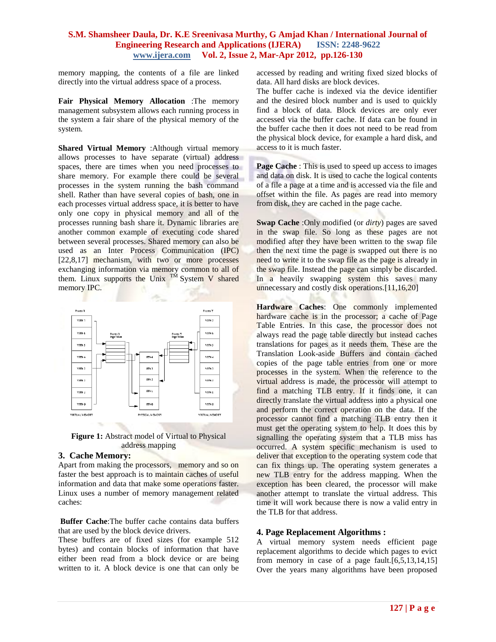memory mapping, the contents of a file are linked directly into the virtual address space of a process.

**Fair Physical Memory Allocation** :The memory management subsystem allows each running process in the system a fair share of the physical memory of the system.

**Shared Virtual Memory** :Although virtual memory allows processes to have separate (virtual) address spaces, there are times when you need processes to share memory. For example there could be several processes in the system running the bash command shell. Rather than have several copies of bash, one in each processes virtual address space, it is better to have only one copy in physical memory and all of the processes running bash share it. Dynamic libraries are another common example of executing code shared between several processes. Shared memory can also be used as an Inter Process Communication (IPC) [22,8,17] mechanism, with two or more processes exchanging information via memory common to all of them. Linux supports the Unix  $T^{\tilde{M}}$  System V shared memory IPC.



**Figure 1:** Abstract model of Virtual to Physical address mapping

# **3. Cache Memory:**

Apart from making the processors, memory and so on faster the best approach is to maintain caches of useful information and data that make some operations faster. Linux uses a number of memory management related caches:

**Buffer Cache**:The buffer cache contains data buffers that are used by the block device drivers.

These buffers are of fixed sizes (for example 512 bytes) and contain blocks of information that have either been read from a block device or are being written to it. A block device is one that can only be

accessed by reading and writing fixed sized blocks of data. All hard disks are block devices.

The buffer cache is indexed via the device identifier and the desired block number and is used to quickly find a block of data. Block devices are only ever accessed via the buffer cache. If data can be found in the buffer cache then it does not need to be read from the physical block device, for example a hard disk, and access to it is much faster.

**Page Cache** : This is used to speed up access to images and data on disk. It is used to cache the logical contents of a file a page at a time and is accessed via the file and offset within the file. As pages are read into memory from disk, they are cached in the page cache.

**Swap Cache** :Only modified (or *dirty*) pages are saved in the swap file. So long as these pages are not modified after they have been written to the swap file then the next time the page is swapped out there is no need to write it to the swap file as the page is already in the swap file. Instead the page can simply be discarded. In a heavily swapping system this saves many unnecessary and costly disk operations.[11,16,20]

**Hardware Caches:** One commonly implemented hardware cache is in the processor; a cache of Page Table Entries. In this case, the processor does not always read the page table directly but instead caches translations for pages as it needs them. These are the Translation Look-aside Buffers and contain cached copies of the page table entries from one or more processes in the system. When the reference to the virtual address is made, the processor will attempt to find a matching TLB entry. If it finds one, it can directly translate the virtual address into a physical one and perform the correct operation on the data. If the processor cannot find a matching TLB entry then it must get the operating system to help. It does this by signalling the operating system that a TLB miss has occurred. A system specific mechanism is used to deliver that exception to the operating system code that can fix things up. The operating system generates a new TLB entry for the address mapping. When the exception has been cleared, the processor will make another attempt to translate the virtual address. This time it will work because there is now a valid entry in the TLB for that address.

# **4. Page Replacement Algorithms :**

A virtual memory system needs efficient page replacement algorithms to decide which pages to evict from memory in case of a page fault.[6,5,13,14,15] Over the years many algorithms have been proposed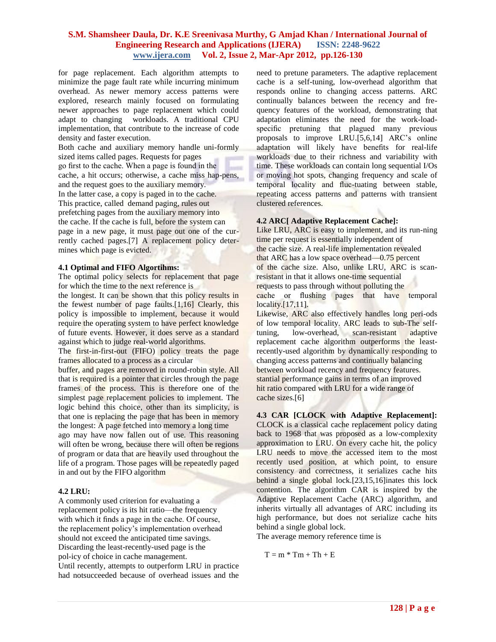for page replacement. Each algorithm attempts to minimize the page fault rate while incurring minimum overhead. As newer memory access patterns were explored, research mainly focused on formulating newer approaches to page replacement which could adapt to changing workloads. A traditional CPU implementation, that contribute to the increase of code density and faster execution.

Both cache and auxiliary memory handle uni-formly sized items called pages. Requests for pages go first to the cache. When a page is found in the cache, a hit occurs; otherwise, a cache miss hap-pens, and the request goes to the auxiliary memory. In the latter case, a copy is paged in to the cache. This practice, called demand paging, rules out prefetching pages from the auxiliary memory into the cache. If the cache is full, before the system can page in a new page, it must page out one of the currently cached pages.[7] A replacement policy determines which page is evicted.

#### **4.1 Optimal and FIFO Algortihms:**

The optimal policy selects for replacement that page for which the time to the next reference is

the longest. It can be shown that this policy results in the fewest number of page faults.[1,16] Clearly, this policy is impossible to implement, because it would require the operating system to have perfect knowledge of future events. However, it does serve as a standard against which to judge real-world algorithms.

The first-in-first-out (FIFO) policy treats the page frames allocated to a process as a circular

buffer, and pages are removed in round-robin style. All that is required is a pointer that circles through the page frames of the process. This is therefore one of the simplest page replacement policies to implement. The logic behind this choice, other than its simplicity, is that one is replacing the page that has been in memory the longest: A page fetched into memory a long time ago may have now fallen out of use. This reasoning will often be wrong, because there will often be regions of program or data that are heavily used throughout the life of a program. Those pages will be repeatedly paged in and out by the FIFO algorithm

#### **4.2 LRU:**

A commonly used criterion for evaluating a replacement policy is its hit ratio—the frequency with which it finds a page in the cache. Of course, the replacement policy's implementation overhead should not exceed the anticipated time savings. Discarding the least-recently-used page is the pol-icy of choice in cache management. Until recently, attempts to outperform LRU in practice had notsucceeded because of overhead issues and the need to pretune parameters. The adaptive replacement cache is a self-tuning, low-overhead algorithm that responds online to changing access patterns. ARC continually balances between the recency and frequency features of the workload, demonstrating that adaptation eliminates the need for the work-loadspecific pretuning that plagued many previous proposals to improve LRU.[5,6,14] ARC's online adaptation will likely have benefits for real-life workloads due to their richness and variability with time. These workloads can contain long sequential I/Os or moving hot spots, changing frequency and scale of temporal locality and fluc-tuating between stable, repeating access patterns and patterns with transient clustered references.

# **4.2 ARC[ Adaptive Replacement Cache]:**

Like LRU, ARC is easy to implement, and its run-ning time per request is essentially independent of the cache size. A real-life implementation revealed that ARC has a low space overhead—0.75 percent of the cache size. Also, unlike LRU, ARC is scanresistant in that it allows one-time sequential requests to pass through without polluting the cache or flushing pages that have temporal locality.[17,11].

Likewise, ARC also effectively handles long peri-ods of low temporal locality. ARC leads to sub-The selftuning, low-overhead, scan-resistant adaptive replacement cache algorithm outperforms the leastrecently-used algorithm by dynamically responding to changing access patterns and continually balancing between workload recency and frequency features. stantial performance gains in terms of an improved hit ratio compared with LRU for a wide range of cache sizes.[6]

**4.3 CAR [CLOCK with Adaptive Replacement]:** CLOCK is a classical cache replacement policy dating back to 1968 that was proposed as a low-complexity approximation to LRU. On every cache hit, the policy LRU needs to move the accessed item to the most recently used position, at which point, to ensure consistency and correctness, it serializes cache hits behind a single global lock.[23,15,16]inates this lock contention. The algorithm CAR is inspired by the Adaptive Replacement Cache (ARC) algorithm, and inherits virtually all advantages of ARC including its high performance, but does not serialize cache hits behind a single global lock.

The average memory reference time is

 $T = m * Tm + Th + E$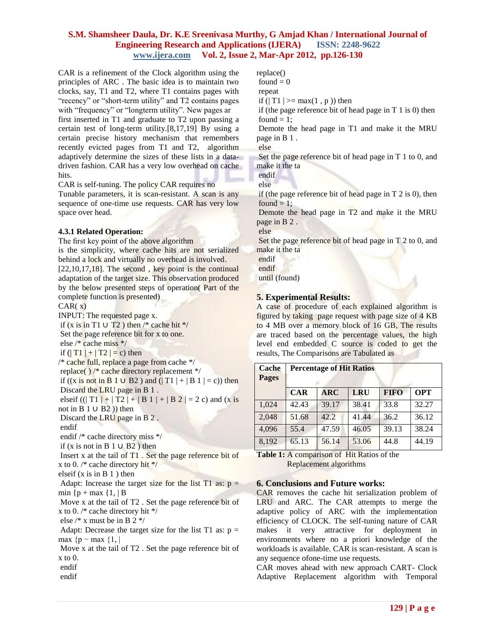CAR is a refinement of the Clock algorithm using the principles of ARC . The basic idea is to maintain two clocks, say, T1 and T2, where T1 contains pages with "recency" or "short-term utility" and T2 contains pages with "frequency" or "longterm utility". New pages ar first inserted in T1 and graduate to T2 upon passing a certain test of long-term utility.[8,17,19] By using a certain precise history mechanism that remembers recently evicted pages from T1 and T2, algorithm adaptively determine the sizes of these lists in a data-

driven fashion. CAR has a very low overhead on cache hits.

CAR is self-tuning. The policy CAR requires no

Tunable parameters, it is scan-resistant. A scan is any sequence of one-time use requests. CAR has very low space over head.

# **4.3.1 Related Operation:**

The first key point of the above algorithm

is the simplicity, where cache hits are not serialized behind a lock and virtually no overhead is involved.  $[22,10,17,18]$ . The second, key point is the continual adaptation of the target size. This observation produced by the below presented steps of operation( Part of the complete function is presented)

#### $CAR(x)$

INPUT: The requested page x. if (x is in T1 ∪ T2) then  $/*$  cache hit  $*/$ Set the page reference bit for x to one. else /\* cache miss \*/ if  $(|T1| + |T2|) = c$  then /\* cache full, replace a page from cache \*/ replace( ) /\* cache directory replacement \*/ if  $((x \text{ is not in } B 1 \cup B2)$  and  $(|T1| + |B1| = c))$  then Discard the LRU page in B 1 . elseif ((| T1 | + | T2 | + | B 1 | + | B 2 | = 2 c) and (x is not in B  $1 \cup B2$ )) then Discard the LRU page in B 2 . endif endif /\* cache directory miss \*/ if (x is not in B  $1 \cup B2$ ) then Insert x at the tail of T1 . Set the page reference bit of x to 0.  $/*$  cache directory hit  $*/$ elseif  $(x \text{ is in } B 1)$  then Adapt: Increase the target size for the list T1 as:  $p =$ min  ${p + max$   $1, | B$ Move x at the tail of T2 . Set the page reference bit of x to 0. /\* cache directory hit \*/ else /\* x must be in B 2 \*/

Adapt: Decrease the target size for the list T1 as:  $p =$ max  ${p - max}$  {1, |

Move x at the tail of T2 . Set the page reference bit of x to 0.

endif

endif

replace() found  $= 0$ repeat if ( $|T1| \geq max(1, p)$ ) then if (the page reference bit of head page in  $T_1$  is 0) then found  $= 1$ ; Demote the head page in T1 and make it the MRU page in B 1 . else Set the page reference bit of head page in T 1 to 0, and make it the ta endif else if (the page reference bit of head page in T 2 is 0), then found  $= 1$ ; Demote the head page in T2 and make it the MRU page in B 2 . else

Set the page reference bit of head page in T 2 to 0, and make it the ta

endif endif

until (found)

# **5. Experimental Results:**

A case of procedure of each explained algorithm is figured by taking page request with page size of 4 KB to 4 MB over a memory block of 16 GB, The results are traced based on the percentage values, the high level end embedded C source is coded to get the results, The Comparisons are Tabulated as

| <b>Cache</b><br><b>Pages</b> | <b>Percentage of Hit Ratios</b> |            |       |             |            |
|------------------------------|---------------------------------|------------|-------|-------------|------------|
|                              | <b>CAR</b>                      | <b>ARC</b> | LRU   | <b>FIFO</b> | <b>OPT</b> |
| 1.024                        | 42.43                           | 39.17      | 38.41 | 33.8        | 32.27      |
| 2,048                        | 51.68                           | 42.2.      | 41.44 | 36.2        | 36.12      |
| 4.096                        | 55.4                            | 47.59      | 46.05 | 39.13       | 38.24      |
| 8,192                        | 65.13                           | 56.14      | 53.06 | 44.8        | 44.19      |

**Table 1:** A comparison of Hit Ratios of the Replacement algorithms

# **6. Conclusions and Future works:**

CAR removes the cache hit serialization problem of LRU and ARC. The CAR attempts to merge the adaptive policy of ARC with the implementation efficiency of CLOCK. The self-tuning nature of CAR makes it very attractive for deployment in environments where no a priori knowledge of the workloads is available. CAR is scan-resistant. A scan is any sequence ofone-time use requests.

CAR moves ahead with new approach CART- Clock Adaptive Replacement algorithm with Temporal